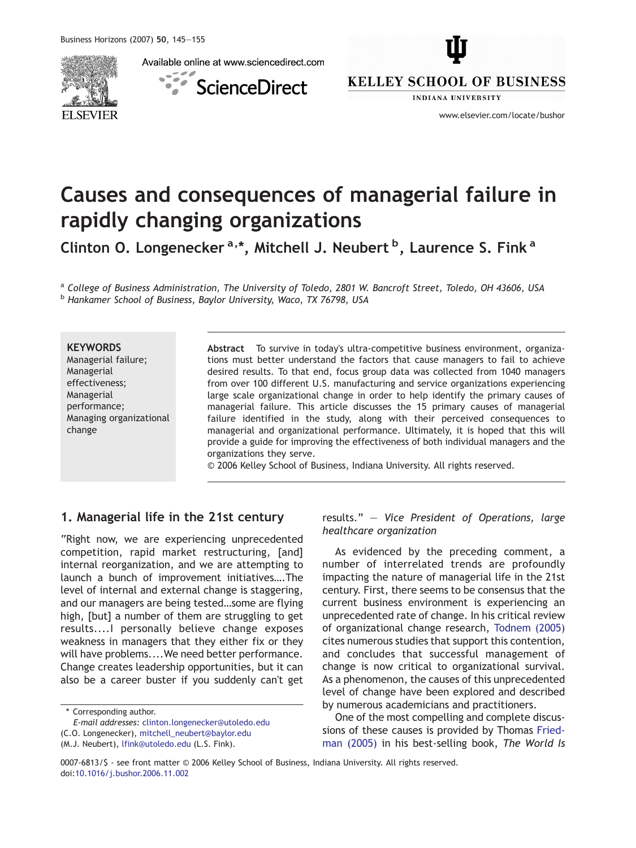Available online at www.sciencedirect.com



ScienceDirect



**INDIANA UNIVERSITY** 

www.elsevier.com/locate/bushor

# Causes and consequences of managerial failure in rapidly changing organizations

Clinton O. Longenecker <sup>a,\*</sup>, Mitchell J. Neubert <sup>b</sup>, Laurence S. Fink <sup>a</sup>

<sup>a</sup> College of Business Administration, The University of Toledo, 2801 W. Bancroft Street, Toledo, OH 43606, USA b Hankamer School of Business, Baylor University, Waco, TX 76798, USA

#### **KEYWORDS**

Managerial failure; Managerial effectiveness; Managerial performance; Managing organizational change

Abstract To survive in today's ultra-competitive business environment, organizations must better understand the factors that cause managers to fail to achieve desired results. To that end, focus group data was collected from 1040 managers from over 100 different U.S. manufacturing and service organizations experiencing large scale organizational change in order to help identify the primary causes of managerial failure. This article discusses the 15 primary causes of managerial failure identified in the study, along with their perceived consequences to managerial and organizational performance. Ultimately, it is hoped that this will provide a guide for improving the effectiveness of both individual managers and the organizations they serve.

© 2006 Kelley School of Business, Indiana University. All rights reserved.

# 1. Managerial life in the 21st century

"Right now, we are experiencing unprecedented competition, rapid market restructuring, [and] internal reorganization, and we are attempting to launch a bunch of improvement initiatives….The level of internal and external change is staggering, and our managers are being tested…some are flying high, [but] a number of them are struggling to get results....I personally believe change exposes weakness in managers that they either fix or they will have problems....We need better performance. Change creates leadership opportunities, but it can also be a career buster if you suddenly can't get

#### results." — Vice President of Operations, large healthcare organization

As evidenced by the preceding comment, a number of interrelated trends are profoundly impacting the nature of managerial life in the 21st century. First, there seems to be consensus that the current business environment is experiencing an unprecedented rate of change. In his critical review of organizational change research, [Todnem \(2005\)](#page-10-0) cites numerous studies that support this contention, and concludes that successful management of change is now critical to organizational survival. As a phenomenon, the causes of this unprecedented level of change have been explored and described by numerous academicians and practitioners.

One of the most compelling and complete discussions of these causes is provided by Thomas [Fried](#page-10-0)[man \(2005\)](#page-10-0) in his best-selling book, The World Is

<sup>⁎</sup> Corresponding author.

E-mail addresses: [clinton.longenecker@utoledo.edu](mailto:clinton.longenecker@utoledo.edu)

<sup>(</sup>C.O. Longenecker), [mitchell\\_neubert@baylor.edu](mailto:mitchell_neubert@baylor.edu)

<sup>(</sup>M.J. Neubert), [lfink@utoledo.edu](mailto:lfink@utoledo.edu) (L.S. Fink).

<sup>0007-6813/\$ -</sup> see front matter © 2006 Kelley School of Business, Indiana University. All rights reserved. doi[:10.1016/j.bushor.2006.11.002](http://dx.doi.org/10.1016/j.bushor.2006.11.002)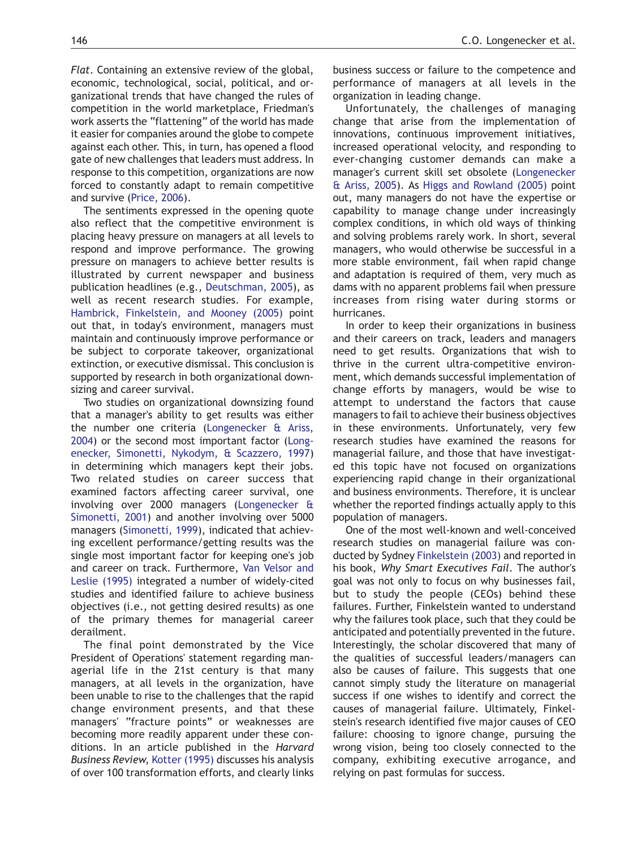Flat. Containing an extensive review of the global, economic, technological, social, political, and organizational trends that have changed the rules of competition in the world marketplace, Friedman's work asserts the "flattening" of the world has made it easier for companies around the globe to compete against each other. This, in turn, has opened a flood gate of new challenges that leaders must address. In response to this competition, organizations are now forced to constantly adapt to remain competitive and survive ([Price, 2006\)](#page-10-0).

The sentiments expressed in the opening quote also reflect that the competitive environment is placing heavy pressure on managers at all levels to respond and improve performance. The growing pressure on managers to achieve better results is illustrated by current newspaper and business publication headlines (e.g., [Deutschman, 2005\)](#page-10-0), as well as recent research studies. For example, [Hambrick, Finkelstein, and Mooney \(2005\)](#page-10-0) point out that, in today's environment, managers must maintain and continuously improve performance or be subject to corporate takeover, organizational extinction, or executive dismissal. This conclusion is supported by research in both organizational downsizing and career survival.

Two studies on organizational downsizing found that a manager's ability to get results was either the number one criteria [\(Longenecker & Ariss,](#page-10-0) [2004](#page-10-0)) or the second most important factor [\(Long](#page-10-0)[enecker, Simonetti, Nykodym, & Scazzero, 1997\)](#page-10-0) in determining which managers kept their jobs. Two related studies on career success that examined factors affecting career survival, one involving over 2000 managers ([Longenecker &](#page-10-0) [Simonetti, 2001\)](#page-10-0) and another involving over 5000 managers [\(Simonetti, 1999](#page-10-0)), indicated that achieving excellent performance/getting results was the single most important factor for keeping one's job and career on track. Furthermore, [Van Velsor and](#page-10-0) [Leslie \(1995\)](#page-10-0) integrated a number of widely-cited studies and identified failure to achieve business objectives (i.e., not getting desired results) as one of the primary themes for managerial career derailment.

The final point demonstrated by the Vice President of Operations' statement regarding managerial life in the 21st century is that many managers, at all levels in the organization, have been unable to rise to the challenges that the rapid change environment presents, and that these managers' "fracture points" or weaknesses are becoming more readily apparent under these conditions. In an article published in the Harvard Business Review, [Kotter \(1995\)](#page-10-0) discusses his analysis of over 100 transformation efforts, and clearly links

business success or failure to the competence and performance of managers at all levels in the organization in leading change.

Unfortunately, the challenges of managing change that arise from the implementation of innovations, continuous improvement initiatives, increased operational velocity, and responding to ever-changing customer demands can make a manager's current skill set obsolete ([Longenecker](#page-10-0) [& Ariss, 2005\)](#page-10-0). As [Higgs and Rowland \(2005\)](#page-10-0) point out, many managers do not have the expertise or capability to manage change under increasingly complex conditions, in which old ways of thinking and solving problems rarely work. In short, several managers, who would otherwise be successful in a more stable environment, fail when rapid change and adaptation is required of them, very much as dams with no apparent problems fail when pressure increases from rising water during storms or hurricanes.

In order to keep their organizations in business and their careers on track, leaders and managers need to get results. Organizations that wish to thrive in the current ultra-competitive environment, which demands successful implementation of change efforts by managers, would be wise to attempt to understand the factors that cause managers to fail to achieve their business objectives in these environments. Unfortunately, very few research studies have examined the reasons for managerial failure, and those that have investigated this topic have not focused on organizations experiencing rapid change in their organizational and business environments. Therefore, it is unclear whether the reported findings actually apply to this population of managers.

One of the most well-known and well-conceived research studies on managerial failure was conducted by Sydney [Finkelstein \(2003\)](#page-10-0) and reported in his book, Why Smart Executives Fail. The author's goal was not only to focus on why businesses fail, but to study the people (CEOs) behind these failures. Further, Finkelstein wanted to understand why the failures took place, such that they could be anticipated and potentially prevented in the future. Interestingly, the scholar discovered that many of the qualities of successful leaders/managers can also be causes of failure. This suggests that one cannot simply study the literature on managerial success if one wishes to identify and correct the causes of managerial failure. Ultimately, Finkelstein's research identified five major causes of CEO failure: choosing to ignore change, pursuing the wrong vision, being too closely connected to the company, exhibiting executive arrogance, and relying on past formulas for success.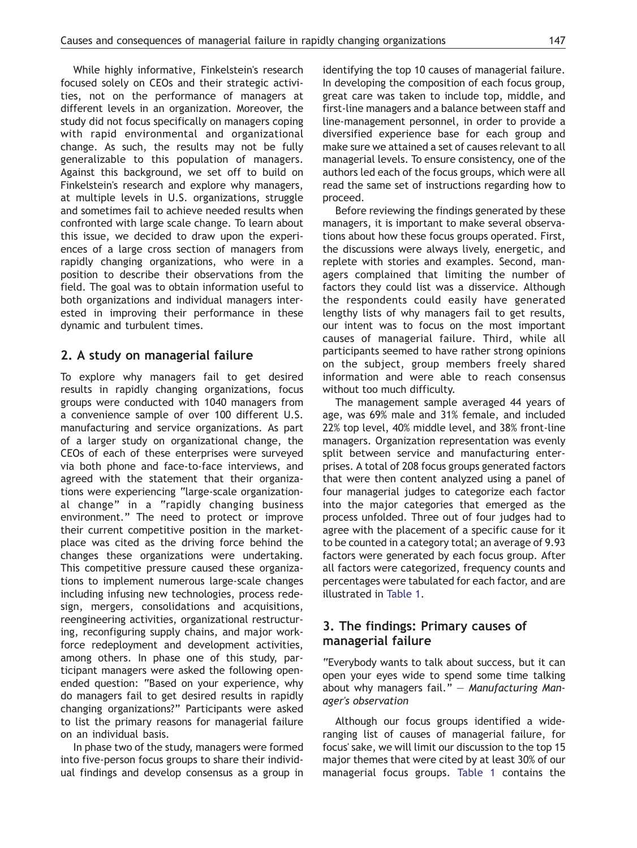While highly informative, Finkelstein's research focused solely on CEOs and their strategic activities, not on the performance of managers at different levels in an organization. Moreover, the study did not focus specifically on managers coping with rapid environmental and organizational change. As such, the results may not be fully generalizable to this population of managers. Against this background, we set off to build on Finkelstein's research and explore why managers, at multiple levels in U.S. organizations, struggle and sometimes fail to achieve needed results when confronted with large scale change. To learn about this issue, we decided to draw upon the experiences of a large cross section of managers from rapidly changing organizations, who were in a position to describe their observations from the field. The goal was to obtain information useful to both organizations and individual managers interested in improving their performance in these dynamic and turbulent times.

## 2. A study on managerial failure

To explore why managers fail to get desired results in rapidly changing organizations, focus groups were conducted with 1040 managers from a convenience sample of over 100 different U.S. manufacturing and service organizations. As part of a larger study on organizational change, the CEOs of each of these enterprises were surveyed via both phone and face-to-face interviews, and agreed with the statement that their organizations were experiencing "large-scale organizational change" in a "rapidly changing business environment." The need to protect or improve their current competitive position in the marketplace was cited as the driving force behind the changes these organizations were undertaking. This competitive pressure caused these organizations to implement numerous large-scale changes including infusing new technologies, process redesign, mergers, consolidations and acquisitions, reengineering activities, organizational restructuring, reconfiguring supply chains, and major workforce redeployment and development activities, among others. In phase one of this study, participant managers were asked the following openended question: "Based on your experience, why do managers fail to get desired results in rapidly changing organizations?" Participants were asked to list the primary reasons for managerial failure on an individual basis.

In phase two of the study, managers were formed into five-person focus groups to share their individual findings and develop consensus as a group in identifying the top 10 causes of managerial failure. In developing the composition of each focus group, great care was taken to include top, middle, and first-line managers and a balance between staff and line-management personnel, in order to provide a diversified experience base for each group and make sure we attained a set of causes relevant to all managerial levels. To ensure consistency, one of the authors led each of the focus groups, which were all read the same set of instructions regarding how to proceed.

Before reviewing the findings generated by these managers, it is important to make several observations about how these focus groups operated. First, the discussions were always lively, energetic, and replete with stories and examples. Second, managers complained that limiting the number of factors they could list was a disservice. Although the respondents could easily have generated lengthy lists of why managers fail to get results, our intent was to focus on the most important causes of managerial failure. Third, while all participants seemed to have rather strong opinions on the subject, group members freely shared information and were able to reach consensus without too much difficulty.

The management sample averaged 44 years of age, was 69% male and 31% female, and included 22% top level, 40% middle level, and 38% front-line managers. Organization representation was evenly split between service and manufacturing enterprises. A total of 208 focus groups generated factors that were then content analyzed using a panel of four managerial judges to categorize each factor into the major categories that emerged as the process unfolded. Three out of four judges had to agree with the placement of a specific cause for it to be counted in a category total; an average of 9.93 factors were generated by each focus group. After all factors were categorized, frequency counts and percentages were tabulated for each factor, and are illustrated in [Table 1](#page-3-0).

# 3. The findings: Primary causes of managerial failure

"Everybody wants to talk about success, but it can open your eyes wide to spend some time talking about why managers fail."  $-$  Manufacturing Manager's observation

Although our focus groups identified a wideranging list of causes of managerial failure, for focus' sake, we will limit our discussion to the top 15 major themes that were cited by at least 30% of our managerial focus groups. [Table 1](#page-3-0) contains the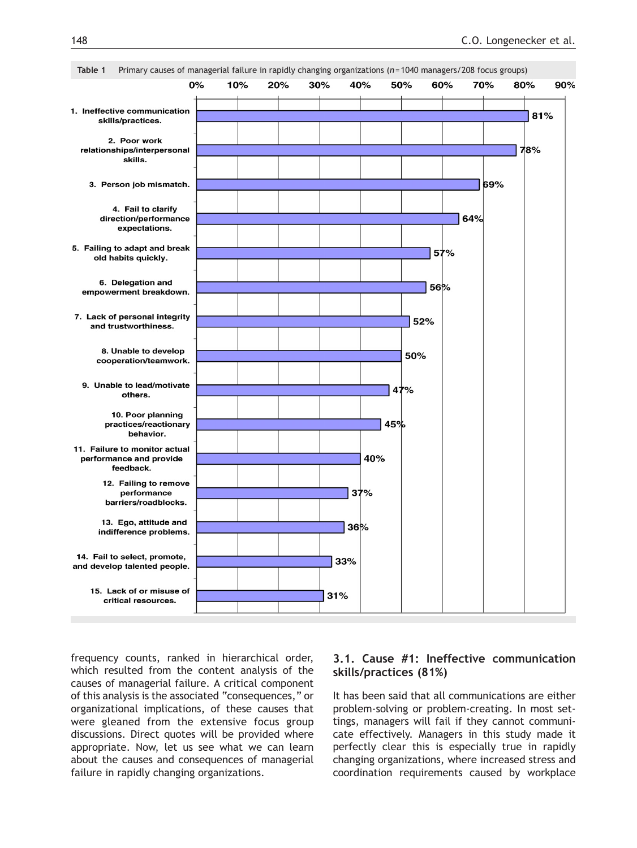<span id="page-3-0"></span>

frequency counts, ranked in hierarchical order, which resulted from the content analysis of the causes of managerial failure. A critical component of this analysis is the associated "consequences," or organizational implications, of these causes that were gleaned from the extensive focus group discussions. Direct quotes will be provided where appropriate. Now, let us see what we can learn about the causes and consequences of managerial failure in rapidly changing organizations.

# 3.1. Cause #1: Ineffective communication skills/practices (81%)

It has been said that all communications are either problem-solving or problem-creating. In most settings, managers will fail if they cannot communicate effectively. Managers in this study made it perfectly clear this is especially true in rapidly changing organizations, where increased stress and coordination requirements caused by workplace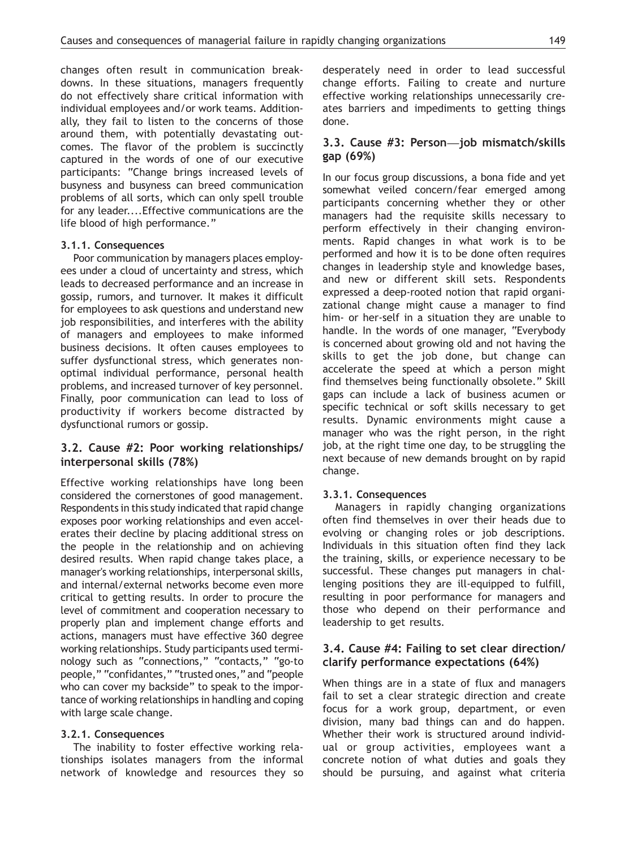changes often result in communication breakdowns. In these situations, managers frequently do not effectively share critical information with individual employees and/or work teams. Additionally, they fail to listen to the concerns of those around them, with potentially devastating outcomes. The flavor of the problem is succinctly captured in the words of one of our executive participants: "Change brings increased levels of busyness and busyness can breed communication problems of all sorts, which can only spell trouble for any leader....Effective communications are the life blood of high performance."

#### 3.1.1. Consequences

Poor communication by managers places employees under a cloud of uncertainty and stress, which leads to decreased performance and an increase in gossip, rumors, and turnover. It makes it difficult for employees to ask questions and understand new job responsibilities, and interferes with the ability of managers and employees to make informed business decisions. It often causes employees to suffer dysfunctional stress, which generates nonoptimal individual performance, personal health problems, and increased turnover of key personnel. Finally, poor communication can lead to loss of productivity if workers become distracted by dysfunctional rumors or gossip.

## 3.2. Cause #2: Poor working relationships/ interpersonal skills (78%)

Effective working relationships have long been considered the cornerstones of good management. Respondents in this study indicated that rapid change exposes poor working relationships and even accelerates their decline by placing additional stress on the people in the relationship and on achieving desired results. When rapid change takes place, a manager's working relationships, interpersonal skills, and internal/external networks become even more critical to getting results. In order to procure the level of commitment and cooperation necessary to properly plan and implement change efforts and actions, managers must have effective 360 degree working relationships. Study participants used terminology such as "connections," "contacts," "go-to people," "confidantes," "trusted ones," and "people who can cover my backside" to speak to the importance of working relationships in handling and coping with large scale change.

#### 3.2.1. Consequences

The inability to foster effective working relationships isolates managers from the informal network of knowledge and resources they so desperately need in order to lead successful change efforts. Failing to create and nurture effective working relationships unnecessarily creates barriers and impediments to getting things done.

## 3.3. Cause #3: Person–job mismatch/skills gap (69%)

In our focus group discussions, a bona fide and yet somewhat veiled concern/fear emerged among participants concerning whether they or other managers had the requisite skills necessary to perform effectively in their changing environments. Rapid changes in what work is to be performed and how it is to be done often requires changes in leadership style and knowledge bases, and new or different skill sets. Respondents expressed a deep-rooted notion that rapid organizational change might cause a manager to find him- or her-self in a situation they are unable to handle. In the words of one manager, "Everybody is concerned about growing old and not having the skills to get the job done, but change can accelerate the speed at which a person might find themselves being functionally obsolete." Skill gaps can include a lack of business acumen or specific technical or soft skills necessary to get results. Dynamic environments might cause a manager who was the right person, in the right job, at the right time one day, to be struggling the next because of new demands brought on by rapid change.

#### 3.3.1. Consequences

Managers in rapidly changing organizations often find themselves in over their heads due to evolving or changing roles or job descriptions. Individuals in this situation often find they lack the training, skills, or experience necessary to be successful. These changes put managers in challenging positions they are ill-equipped to fulfill, resulting in poor performance for managers and those who depend on their performance and leadership to get results.

#### 3.4. Cause #4: Failing to set clear direction/ clarify performance expectations (64%)

When things are in a state of flux and managers fail to set a clear strategic direction and create focus for a work group, department, or even division, many bad things can and do happen. Whether their work is structured around individual or group activities, employees want a concrete notion of what duties and goals they should be pursuing, and against what criteria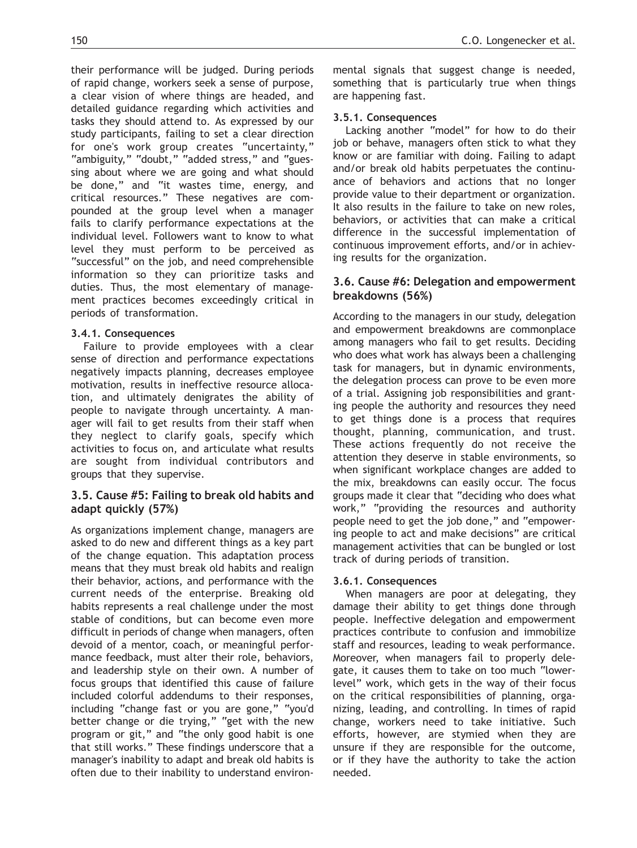their performance will be judged. During periods of rapid change, workers seek a sense of purpose, a clear vision of where things are headed, and detailed guidance regarding which activities and tasks they should attend to. As expressed by our study participants, failing to set a clear direction for one's work group creates "uncertainty," "ambiguity," "doubt," "added stress," and "guessing about where we are going and what should be done," and "it wastes time, energy, and critical resources." These negatives are compounded at the group level when a manager fails to clarify performance expectations at the individual level. Followers want to know to what level they must perform to be perceived as "successful" on the job, and need comprehensible information so they can prioritize tasks and duties. Thus, the most elementary of management practices becomes exceedingly critical in periods of transformation.

## 3.4.1. Consequences

Failure to provide employees with a clear sense of direction and performance expectations negatively impacts planning, decreases employee motivation, results in ineffective resource allocation, and ultimately denigrates the ability of people to navigate through uncertainty. A manager will fail to get results from their staff when they neglect to clarify goals, specify which activities to focus on, and articulate what results are sought from individual contributors and groups that they supervise.

## 3.5. Cause #5: Failing to break old habits and adapt quickly (57%)

As organizations implement change, managers are asked to do new and different things as a key part of the change equation. This adaptation process means that they must break old habits and realign their behavior, actions, and performance with the current needs of the enterprise. Breaking old habits represents a real challenge under the most stable of conditions, but can become even more difficult in periods of change when managers, often devoid of a mentor, coach, or meaningful performance feedback, must alter their role, behaviors, and leadership style on their own. A number of focus groups that identified this cause of failure included colorful addendums to their responses, including "change fast or you are gone," "you'd better change or die trying," "get with the new program or git," and "the only good habit is one that still works." These findings underscore that a manager's inability to adapt and break old habits is often due to their inability to understand environmental signals that suggest change is needed, something that is particularly true when things are happening fast.

#### 3.5.1. Consequences

Lacking another "model" for how to do their job or behave, managers often stick to what they know or are familiar with doing. Failing to adapt and/or break old habits perpetuates the continuance of behaviors and actions that no longer provide value to their department or organization. It also results in the failure to take on new roles, behaviors, or activities that can make a critical difference in the successful implementation of continuous improvement efforts, and/or in achieving results for the organization.

## 3.6. Cause #6: Delegation and empowerment breakdowns (56%)

According to the managers in our study, delegation and empowerment breakdowns are commonplace among managers who fail to get results. Deciding who does what work has always been a challenging task for managers, but in dynamic environments, the delegation process can prove to be even more of a trial. Assigning job responsibilities and granting people the authority and resources they need to get things done is a process that requires thought, planning, communication, and trust. These actions frequently do not receive the attention they deserve in stable environments, so when significant workplace changes are added to the mix, breakdowns can easily occur. The focus groups made it clear that "deciding who does what work," "providing the resources and authority people need to get the job done," and "empowering people to act and make decisions" are critical management activities that can be bungled or lost track of during periods of transition.

# 3.6.1. Consequences

When managers are poor at delegating, they damage their ability to get things done through people. Ineffective delegation and empowerment practices contribute to confusion and immobilize staff and resources, leading to weak performance. Moreover, when managers fail to properly delegate, it causes them to take on too much "lowerlevel" work, which gets in the way of their focus on the critical responsibilities of planning, organizing, leading, and controlling. In times of rapid change, workers need to take initiative. Such efforts, however, are stymied when they are unsure if they are responsible for the outcome, or if they have the authority to take the action needed.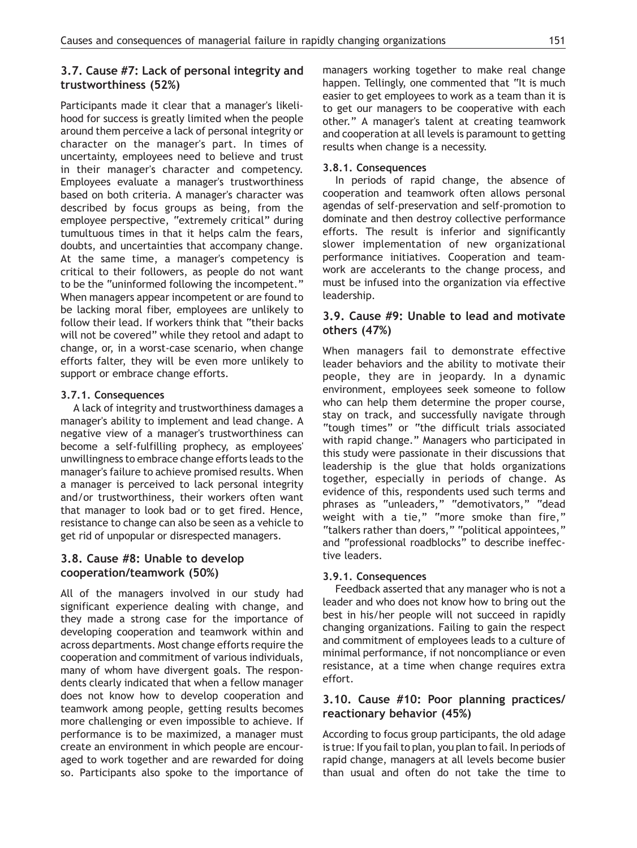# 3.7. Cause #7: Lack of personal integrity and trustworthiness (52%)

Participants made it clear that a manager's likelihood for success is greatly limited when the people around them perceive a lack of personal integrity or character on the manager's part. In times of uncertainty, employees need to believe and trust in their manager's character and competency. Employees evaluate a manager's trustworthiness based on both criteria. A manager's character was described by focus groups as being, from the employee perspective, "extremely critical" during tumultuous times in that it helps calm the fears, doubts, and uncertainties that accompany change. At the same time, a manager's competency is critical to their followers, as people do not want to be the "uninformed following the incompetent." When managers appear incompetent or are found to be lacking moral fiber, employees are unlikely to follow their lead. If workers think that "their backs will not be covered" while they retool and adapt to change, or, in a worst-case scenario, when change efforts falter, they will be even more unlikely to support or embrace change efforts.

## 3.7.1. Consequences

A lack of integrity and trustworthiness damages a manager's ability to implement and lead change. A negative view of a manager's trustworthiness can become a self-fulfilling prophecy, as employees' unwillingness to embrace change efforts leads to the manager's failure to achieve promised results. When a manager is perceived to lack personal integrity and/or trustworthiness, their workers often want that manager to look bad or to get fired. Hence, resistance to change can also be seen as a vehicle to get rid of unpopular or disrespected managers.

# 3.8. Cause #8: Unable to develop cooperation/teamwork (50%)

All of the managers involved in our study had significant experience dealing with change, and they made a strong case for the importance of developing cooperation and teamwork within and across departments. Most change efforts require the cooperation and commitment of various individuals, many of whom have divergent goals. The respondents clearly indicated that when a fellow manager does not know how to develop cooperation and teamwork among people, getting results becomes more challenging or even impossible to achieve. If performance is to be maximized, a manager must create an environment in which people are encouraged to work together and are rewarded for doing so. Participants also spoke to the importance of managers working together to make real change happen. Tellingly, one commented that "It is much easier to get employees to work as a team than it is to get our managers to be cooperative with each other." A manager's talent at creating teamwork and cooperation at all levels is paramount to getting results when change is a necessity.

# 3.8.1. Consequences

In periods of rapid change, the absence of cooperation and teamwork often allows personal agendas of self-preservation and self-promotion to dominate and then destroy collective performance efforts. The result is inferior and significantly slower implementation of new organizational performance initiatives. Cooperation and teamwork are accelerants to the change process, and must be infused into the organization via effective leadership.

# 3.9. Cause #9: Unable to lead and motivate others (47%)

When managers fail to demonstrate effective leader behaviors and the ability to motivate their people, they are in jeopardy. In a dynamic environment, employees seek someone to follow who can help them determine the proper course, stay on track, and successfully navigate through "tough times" or "the difficult trials associated with rapid change." Managers who participated in this study were passionate in their discussions that leadership is the glue that holds organizations together, especially in periods of change. As evidence of this, respondents used such terms and phrases as "unleaders," "demotivators," "dead weight with a tie," "more smoke than fire," "talkers rather than doers," "political appointees," and "professional roadblocks" to describe ineffective leaders.

# 3.9.1. Consequences

Feedback asserted that any manager who is not a leader and who does not know how to bring out the best in his/her people will not succeed in rapidly changing organizations. Failing to gain the respect and commitment of employees leads to a culture of minimal performance, if not noncompliance or even resistance, at a time when change requires extra effort.

# 3.10. Cause #10: Poor planning practices/ reactionary behavior (45%)

According to focus group participants, the old adage is true: If you fail to plan, you plan to fail. In periods of rapid change, managers at all levels become busier than usual and often do not take the time to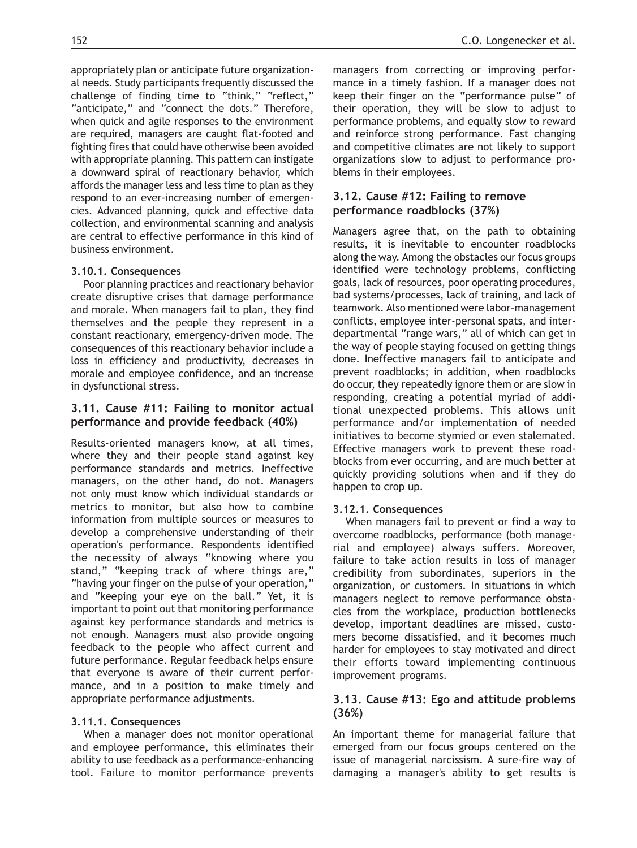appropriately plan or anticipate future organizational needs. Study participants frequently discussed the challenge of finding time to "think," "reflect," "anticipate," and "connect the dots." Therefore, when quick and agile responses to the environment are required, managers are caught flat-footed and fighting fires that could have otherwise been avoided with appropriate planning. This pattern can instigate a downward spiral of reactionary behavior, which affords the manager less and less time to plan as they respond to an ever-increasing number of emergencies. Advanced planning, quick and effective data collection, and environmental scanning and analysis are central to effective performance in this kind of business environment.

#### 3.10.1. Consequences

Poor planning practices and reactionary behavior create disruptive crises that damage performance and morale. When managers fail to plan, they find themselves and the people they represent in a constant reactionary, emergency-driven mode. The consequences of this reactionary behavior include a loss in efficiency and productivity, decreases in morale and employee confidence, and an increase in dysfunctional stress.

## 3.11. Cause #11: Failing to monitor actual performance and provide feedback (40%)

Results-oriented managers know, at all times, where they and their people stand against key performance standards and metrics. Ineffective managers, on the other hand, do not. Managers not only must know which individual standards or metrics to monitor, but also how to combine information from multiple sources or measures to develop a comprehensive understanding of their operation's performance. Respondents identified the necessity of always "knowing where you stand," "keeping track of where things are," "having your finger on the pulse of your operation," and "keeping your eye on the ball." Yet, it is important to point out that monitoring performance against key performance standards and metrics is not enough. Managers must also provide ongoing feedback to the people who affect current and future performance. Regular feedback helps ensure that everyone is aware of their current performance, and in a position to make timely and appropriate performance adjustments.

#### 3.11.1. Consequences

When a manager does not monitor operational and employee performance, this eliminates their ability to use feedback as a performance-enhancing tool. Failure to monitor performance prevents managers from correcting or improving performance in a timely fashion. If a manager does not keep their finger on the "performance pulse" of their operation, they will be slow to adjust to performance problems, and equally slow to reward and reinforce strong performance. Fast changing and competitive climates are not likely to support organizations slow to adjust to performance problems in their employees.

# 3.12. Cause #12: Failing to remove performance roadblocks (37%)

Managers agree that, on the path to obtaining results, it is inevitable to encounter roadblocks along the way. Among the obstacles our focus groups identified were technology problems, conflicting goals, lack of resources, poor operating procedures, bad systems/processes, lack of training, and lack of teamwork. Also mentioned were labor–management conflicts, employee inter-personal spats, and interdepartmental "range wars," all of which can get in the way of people staying focused on getting things done. Ineffective managers fail to anticipate and prevent roadblocks; in addition, when roadblocks do occur, they repeatedly ignore them or are slow in responding, creating a potential myriad of additional unexpected problems. This allows unit performance and/or implementation of needed initiatives to become stymied or even stalemated. Effective managers work to prevent these roadblocks from ever occurring, and are much better at quickly providing solutions when and if they do happen to crop up.

# 3.12.1. Consequences

When managers fail to prevent or find a way to overcome roadblocks, performance (both managerial and employee) always suffers. Moreover, failure to take action results in loss of manager credibility from subordinates, superiors in the organization, or customers. In situations in which managers neglect to remove performance obstacles from the workplace, production bottlenecks develop, important deadlines are missed, customers become dissatisfied, and it becomes much harder for employees to stay motivated and direct their efforts toward implementing continuous improvement programs.

# 3.13. Cause #13: Ego and attitude problems (36%)

An important theme for managerial failure that emerged from our focus groups centered on the issue of managerial narcissism. A sure-fire way of damaging a manager's ability to get results is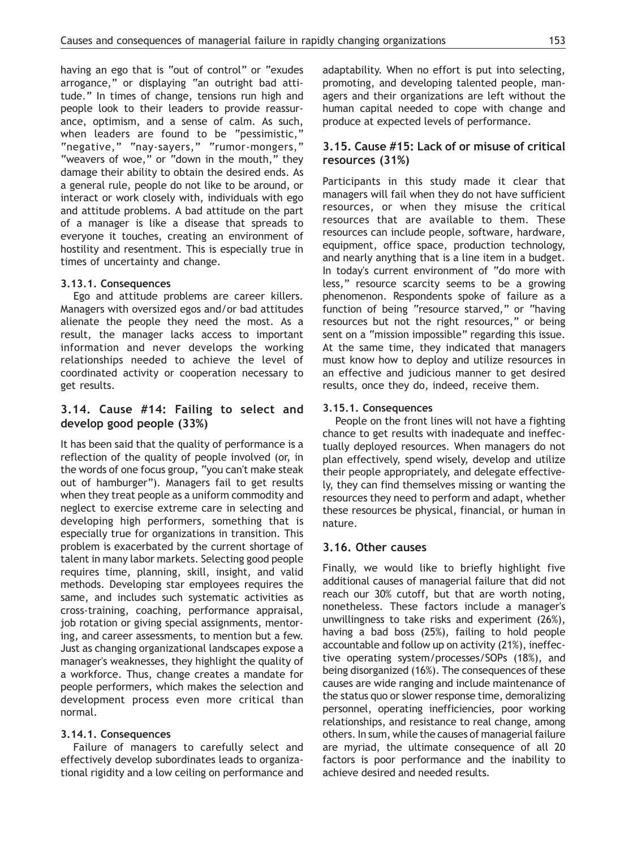having an ego that is "out of control" or "exudes arrogance," or displaying "an outright bad attitude." In times of change, tensions run high and people look to their leaders to provide reassurance, optimism, and a sense of calm. As such, when leaders are found to be "pessimistic," "negative," "nay-sayers," "rumor-mongers," "weavers of woe," or "down in the mouth," they damage their ability to obtain the desired ends. As a general rule, people do not like to be around, or interact or work closely with, individuals with ego and attitude problems. A bad attitude on the part of a manager is like a disease that spreads to everyone it touches, creating an environment of hostility and resentment. This is especially true in times of uncertainty and change.

## 3.13.1. Consequences

Ego and attitude problems are career killers. Managers with oversized egos and/or bad attitudes alienate the people they need the most. As a result, the manager lacks access to important information and never develops the working relationships needed to achieve the level of coordinated activity or cooperation necessary to get results.

# 3.14. Cause #14: Failing to select and develop good people (33%)

It has been said that the quality of performance is a reflection of the quality of people involved (or, in the words of one focus group, "you can't make steak out of hamburger"). Managers fail to get results when they treat people as a uniform commodity and neglect to exercise extreme care in selecting and developing high performers, something that is especially true for organizations in transition. This problem is exacerbated by the current shortage of talent in many labor markets. Selecting good people requires time, planning, skill, insight, and valid methods. Developing star employees requires the same, and includes such systematic activities as cross-training, coaching, performance appraisal, job rotation or giving special assignments, mentoring, and career assessments, to mention but a few. Just as changing organizational landscapes expose a manager's weaknesses, they highlight the quality of a workforce. Thus, change creates a mandate for people performers, which makes the selection and development process even more critical than normal.

#### 3.14.1. Consequences

Failure of managers to carefully select and effectively develop subordinates leads to organizational rigidity and a low ceiling on performance and adaptability. When no effort is put into selecting, promoting, and developing talented people, managers and their organizations are left without the human capital needed to cope with change and produce at expected levels of performance.

# 3.15. Cause #15: Lack of or misuse of critical resources (31%)

Participants in this study made it clear that managers will fail when they do not have sufficient resources, or when they misuse the critical resources that are available to them. These resources can include people, software, hardware, equipment, office space, production technology, and nearly anything that is a line item in a budget. In today's current environment of "do more with less," resource scarcity seems to be a growing phenomenon. Respondents spoke of failure as a function of being "resource starved," or "having resources but not the right resources," or being sent on a "mission impossible" regarding this issue. At the same time, they indicated that managers must know how to deploy and utilize resources in an effective and judicious manner to get desired results, once they do, indeed, receive them.

#### 3.15.1. Consequences

People on the front lines will not have a fighting chance to get results with inadequate and ineffectually deployed resources. When managers do not plan effectively, spend wisely, develop and utilize their people appropriately, and delegate effectively, they can find themselves missing or wanting the resources they need to perform and adapt, whether these resources be physical, financial, or human in nature.

#### 3.16. Other causes

Finally, we would like to briefly highlight five additional causes of managerial failure that did not reach our 30% cutoff, but that are worth noting, nonetheless. These factors include a manager's unwillingness to take risks and experiment (26%), having a bad boss (25%), failing to hold people accountable and follow up on activity (21%), ineffective operating system/processes/SOPs (18%), and being disorganized (16%). The consequences of these causes are wide ranging and include maintenance of the status quo or slower response time, demoralizing personnel, operating inefficiencies, poor working relationships, and resistance to real change, among others. In sum, while the causes of managerial failure are myriad, the ultimate consequence of all 20 factors is poor performance and the inability to achieve desired and needed results.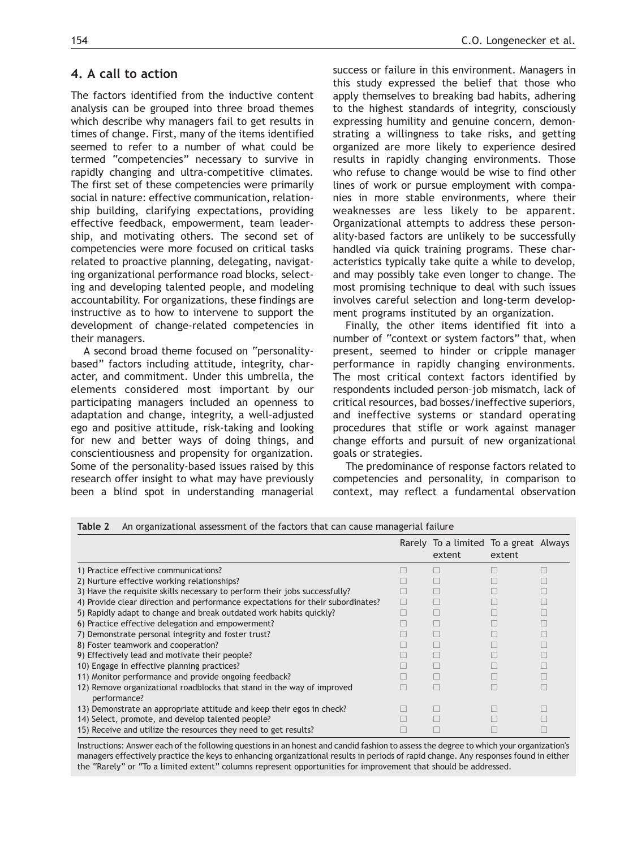## <span id="page-9-0"></span>4. A call to action

The factors identified from the inductive content analysis can be grouped into three broad themes which describe why managers fail to get results in times of change. First, many of the items identified seemed to refer to a number of what could be termed "competencies" necessary to survive in rapidly changing and ultra-competitive climates. The first set of these competencies were primarily social in nature: effective communication, relationship building, clarifying expectations, providing effective feedback, empowerment, team leadership, and motivating others. The second set of competencies were more focused on critical tasks related to proactive planning, delegating, navigating organizational performance road blocks, selecting and developing talented people, and modeling accountability. For organizations, these findings are instructive as to how to intervene to support the development of change-related competencies in their managers.

A second broad theme focused on "personalitybased" factors including attitude, integrity, character, and commitment. Under this umbrella, the elements considered most important by our participating managers included an openness to adaptation and change, integrity, a well-adjusted ego and positive attitude, risk-taking and looking for new and better ways of doing things, and conscientiousness and propensity for organization. Some of the personality-based issues raised by this research offer insight to what may have previously been a blind spot in understanding managerial success or failure in this environment. Managers in this study expressed the belief that those who apply themselves to breaking bad habits, adhering to the highest standards of integrity, consciously expressing humility and genuine concern, demonstrating a willingness to take risks, and getting organized are more likely to experience desired results in rapidly changing environments. Those who refuse to change would be wise to find other lines of work or pursue employment with companies in more stable environments, where their weaknesses are less likely to be apparent. Organizational attempts to address these personality-based factors are unlikely to be successfully handled via quick training programs. These characteristics typically take quite a while to develop, and may possibly take even longer to change. The most promising technique to deal with such issues involves careful selection and long-term development programs instituted by an organization.

Finally, the other items identified fit into a number of "context or system factors" that, when present, seemed to hinder or cripple manager performance in rapidly changing environments. The most critical context factors identified by respondents included person–job mismatch, lack of critical resources, bad bosses/ineffective superiors, and ineffective systems or standard operating procedures that stifle or work against manager change efforts and pursuit of new organizational goals or strategies.

The predominance of response factors related to competencies and personality, in comparison to context, may reflect a fundamental observation

|                                                                                        | Rarely To a limited To a great Always<br>extent | extent |   |
|----------------------------------------------------------------------------------------|-------------------------------------------------|--------|---|
| 1) Practice effective communications?                                                  |                                                 |        |   |
| 2) Nurture effective working relationships?                                            |                                                 |        |   |
| 3) Have the requisite skills necessary to perform their jobs successfully?             |                                                 |        |   |
| 4) Provide clear direction and performance expectations for their subordinates?        |                                                 |        |   |
| 5) Rapidly adapt to change and break outdated work habits quickly?                     |                                                 |        | П |
| 6) Practice effective delegation and empowerment?                                      |                                                 |        |   |
| 7) Demonstrate personal integrity and foster trust?                                    |                                                 |        |   |
| 8) Foster teamwork and cooperation?                                                    |                                                 |        |   |
| 9) Effectively lead and motivate their people?                                         |                                                 |        |   |
| 10) Engage in effective planning practices?                                            |                                                 |        |   |
| 11) Monitor performance and provide ongoing feedback?                                  |                                                 |        |   |
| 12) Remove organizational roadblocks that stand in the way of improved<br>performance? |                                                 |        |   |
| 13) Demonstrate an appropriate attitude and keep their egos in check?                  |                                                 |        |   |
| 14) Select, promote, and develop talented people?                                      |                                                 |        |   |
| 15) Receive and utilize the resources they need to get results?                        |                                                 |        |   |

Table 2 An organizational assessment of the factors that can cause managerial failure

Instructions: Answer each of the following questions in an honest and candid fashion to assess the degree to which your organization's managers effectively practice the keys to enhancing organizational results in periods of rapid change. Any responses found in either the "Rarely" or "To a limited extent" columns represent opportunities for improvement that should be addressed.